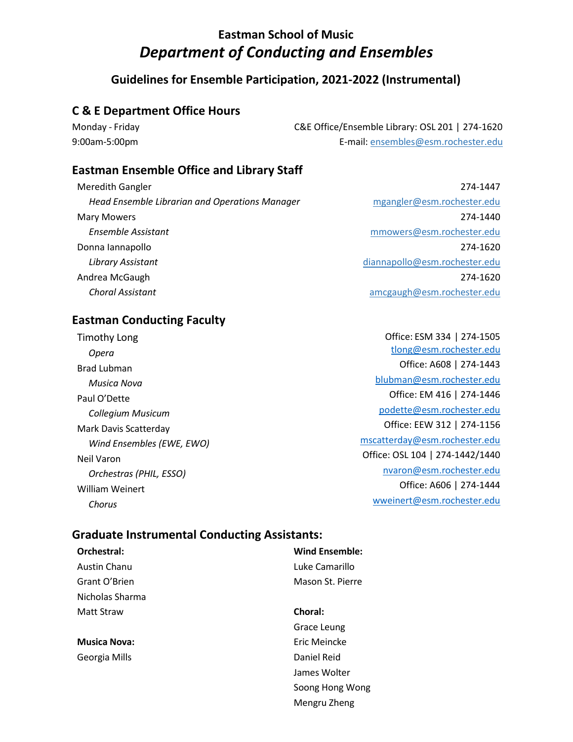# **Eastman School of Music** *Department of Conducting and Ensembles*

## **Guidelines for Ensemble Participation, 2021-2022 (Instrumental)**

### **C & E Department Office Hours**

Monday - Friday C&E Office/Ensemble Library: OSL 201 | 274-1620 9:00am-5:00pm E-mail: [ensembles@esm.rochester.edu](mailto:ensembles@esm.rochester.edu)

### **Eastman Ensemble Office and Library Staff**

Meredith Gangler  *Head Ensemble Librarian and Operations Manager* Mary Mowers  *Ensemble Assistant* Donna Iannapollo  *Library Assistant* Andrea McGaugh  *Choral Assistant*

274-1447 mgangler@esm.rochester.edu 274-1440 mmowers@esm.rochester.edu 274-1620 diannapollo@esm.rochester.edu 274-1620 amcgaugh@esm.rochester.edu

## **Eastman Conducting Faculty**

Timothy Long  *Opera* Brad Lubman *Musica Nova* Paul O'Dette *Collegium Musicum* Mark Davis Scatterday *Wind Ensembles (EWE, EWO)* Neil Varon *Orchestras (PHIL, ESSO)* William Weinert *Chorus*

Office: ESM 334 | 274-1505 [tlong@esm.rochester.edu](mailto:tlong@esm.rochester.edu) Office: A608 | 274-1443 [blubman@esm.rochester.edu](mailto:blubman@esm.rochester.edu) Office: EM 416 | 274-1446 [podette@esm.rochester.edu](mailto:podette@esm.rochester.edu) Office: EEW 312 | 274-1156 [mscatterday@esm.rochester.edu](mailto:mscatterday@esm.rochester.edu) Office: OSL 104 | 274-1442/1440 [nvaron@esm.rochester.edu](mailto:nvaron@esm.rochester.edu) Office: A606 | 274-1444 [wweinert@esm.rochester.edu](mailto:wweinert@esm.rochester.edu)

### **Graduate Instrumental Conducting Assistants:**

| Orchestral:         | <b>Wind Ensemble:</b> |
|---------------------|-----------------------|
| Austin Chanu        | Luke Camarillo        |
| Grant O'Brien       | Mason St. Pierre      |
| Nicholas Sharma     |                       |
| Matt Straw          | Choral:               |
|                     | Grace Leung           |
| <b>Musica Nova:</b> | Eric Meincke          |
| Georgia Mills       | Daniel Reid           |
|                     | James Wolter          |
|                     | Soong Hong Wong       |
|                     | Mengru Zheng          |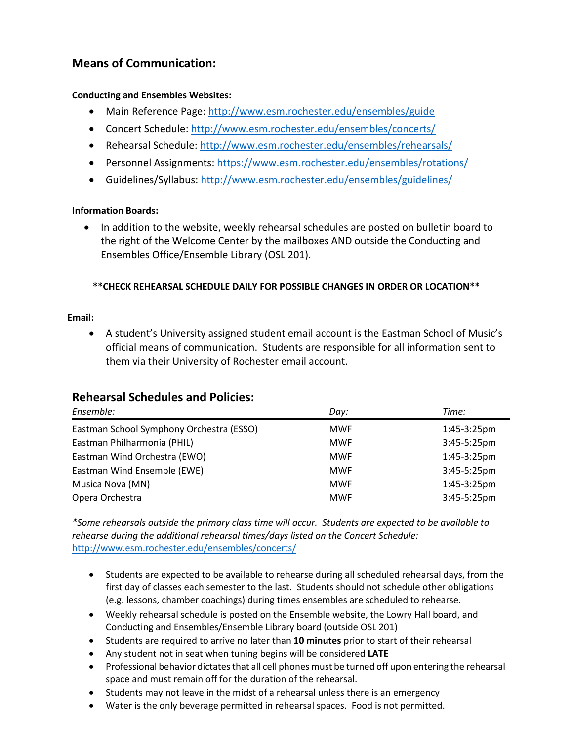# **Means of Communication:**

#### **Conducting and Ensembles Websites:**

- Main Reference Page[: http://www.esm.rochester.edu/ensembles/guide](http://www.esm.rochester.edu/ensembles/guide)
- Concert Schedule:<http://www.esm.rochester.edu/ensembles/concerts/>
- Rehearsal Schedule[: http://www.esm.rochester.edu/ensembles/rehearsals/](http://www.esm.rochester.edu/ensembles/rehearsals/)
- Personnel Assignments:<https://www.esm.rochester.edu/ensembles/rotations/>
- Guidelines/Syllabus:<http://www.esm.rochester.edu/ensembles/guidelines/>

#### **Information Boards:**

 In addition to the website, weekly rehearsal schedules are posted on bulletin board to the right of the Welcome Center by the mailboxes AND outside the Conducting and Ensembles Office/Ensemble Library (OSL 201).

### **\*\*CHECK REHEARSAL SCHEDULE DAILY FOR POSSIBLE CHANGES IN ORDER OR LOCATION\*\***

#### **Email:**

 A student's University assigned student email account is the Eastman School of Music's official means of communication. Students are responsible for all information sent to them via their University of Rochester email account.

#### *Ensemble: Day: Time:* Eastman School Symphony Orchestra (ESSO) MWF 1:45-3:25pm Eastman Philharmonia (PHIL) MWF 3:45-5:25pm Eastman Wind Orchestra (EWO) MWF 1:45-3:25pm Eastman Wind Ensemble (EWE) Musica Nova (MN) Opera Orchestra MWF MWF MWF 3:45-5:25pm 1:45-3:25pm 3:45-5:25pm

### **Rehearsal Schedules and Policies:**

*\*Some rehearsals outside the primary class time will occur. Students are expected to be available to rehearse during the additional rehearsal times/days listed on the Concert Schedule:* <http://www.esm.rochester.edu/ensembles/concerts/>

- Students are expected to be available to rehearse during all scheduled rehearsal days, from the first day of classes each semester to the last. Students should not schedule other obligations (e.g. lessons, chamber coachings) during times ensembles are scheduled to rehearse.
- Weekly rehearsal schedule is posted on the Ensemble website, the Lowry Hall board, and Conducting and Ensembles/Ensemble Library board (outside OSL 201)
- Students are required to arrive no later than **10 minutes** prior to start of their rehearsal
- Any student not in seat when tuning begins will be considered **LATE**
- Professional behavior dictates that all cell phones must be turned off upon entering the rehearsal space and must remain off for the duration of the rehearsal.
- Students may not leave in the midst of a rehearsal unless there is an emergency
- Water is the only beverage permitted in rehearsal spaces. Food is not permitted.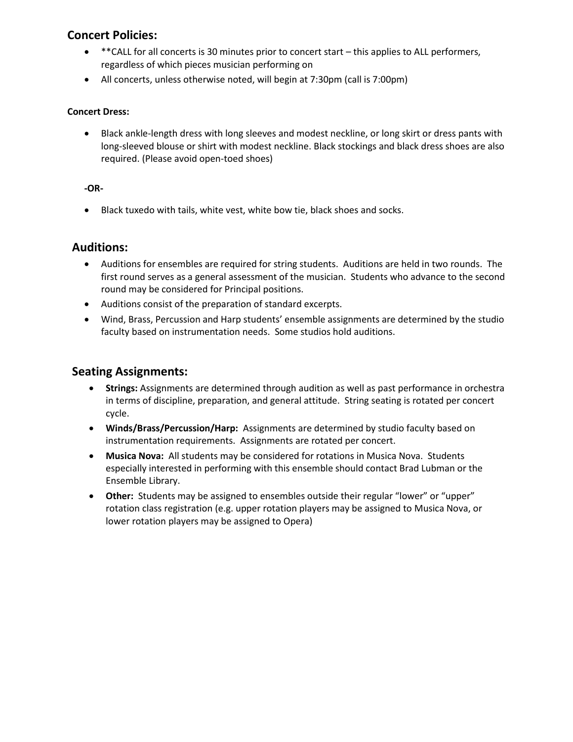### **Concert Policies:**

- \*\*\*CALL for all concerts is 30 minutes prior to concert start this applies to ALL performers, regardless of which pieces musician performing on
- All concerts, unless otherwise noted, will begin at 7:30pm (call is 7:00pm)

#### **Concert Dress:**

 Black ankle-length dress with long sleeves and modest neckline, or long skirt or dress pants with long-sleeved blouse or shirt with modest neckline. Black stockings and black dress shoes are also required. (Please avoid open-toed shoes)

#### **-OR-**

Black tuxedo with tails, white vest, white bow tie, black shoes and socks.

### **Auditions:**

- Auditions for ensembles are required for string students. Auditions are held in two rounds. The first round serves as a general assessment of the musician. Students who advance to the second round may be considered for Principal positions.
- Auditions consist of the preparation of standard excerpts.
- Wind, Brass, Percussion and Harp students' ensemble assignments are determined by the studio faculty based on instrumentation needs. Some studios hold auditions.

### **Seating Assignments:**

- **Strings:** Assignments are determined through audition as well as past performance in orchestra in terms of discipline, preparation, and general attitude. String seating is rotated per concert cycle.
- **Winds/Brass/Percussion/Harp:** Assignments are determined by studio faculty based on instrumentation requirements. Assignments are rotated per concert.
- **Musica Nova:** All students may be considered for rotations in Musica Nova. Students especially interested in performing with this ensemble should contact Brad Lubman or the Ensemble Library.
- **Other:** Students may be assigned to ensembles outside their regular "lower" or "upper" rotation class registration (e.g. upper rotation players may be assigned to Musica Nova, or lower rotation players may be assigned to Opera)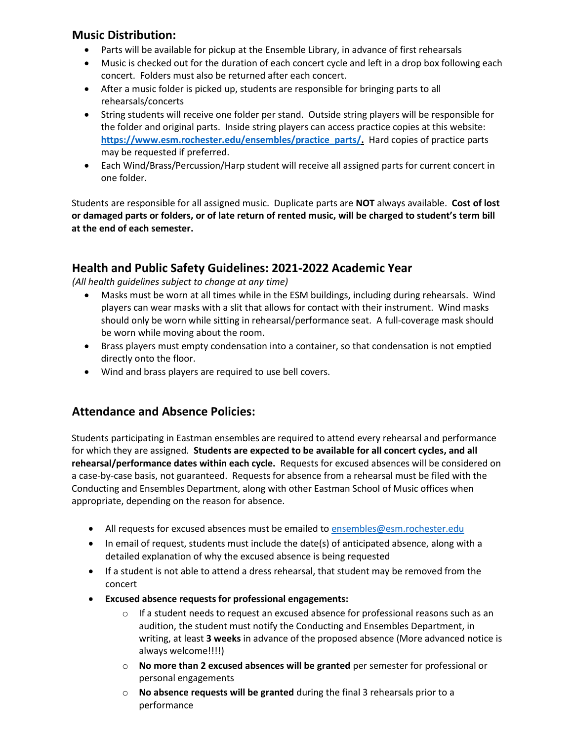### **Music Distribution:**

- Parts will be available for pickup at the Ensemble Library, in advance of first rehearsals
- Music is checked out for the duration of each concert cycle and left in a drop box following each concert. Folders must also be returned after each concert.
- After a music folder is picked up, students are responsible for bringing parts to all rehearsals/concerts
- String students will receive one folder per stand. Outside string players will be responsible for the folder and original parts. Inside string players can access practice copies at this website: **[https://www.esm.rochester.edu/ensembles/practice\\_parts/.](https://www.esm.rochester.edu/ensembles/practice_parts/)** Hard copies of practice parts may be requested if preferred.
- Each Wind/Brass/Percussion/Harp student will receive all assigned parts for current concert in one folder.

Students are responsible for all assigned music. Duplicate parts are **NOT** always available. **Cost of lost or damaged parts or folders, or of late return of rented music, will be charged to student's term bill at the end of each semester.**

### **Health and Public Safety Guidelines: 2021-2022 Academic Year**

*(All health guidelines subject to change at any time)*

- Masks must be worn at all times while in the ESM buildings, including during rehearsals. Wind players can wear masks with a slit that allows for contact with their instrument. Wind masks should only be worn while sitting in rehearsal/performance seat. A full-coverage mask should be worn while moving about the room.
- Brass players must empty condensation into a container, so that condensation is not emptied directly onto the floor.
- Wind and brass players are required to use bell covers.

### **Attendance and Absence Policies:**

Students participating in Eastman ensembles are required to attend every rehearsal and performance for which they are assigned. **Students are expected to be available for all concert cycles, and all rehearsal/performance dates within each cycle.** Requests for excused absences will be considered on a case-by-case basis, not guaranteed. Requests for absence from a rehearsal must be filed with the Conducting and Ensembles Department, along with other Eastman School of Music offices when appropriate, depending on the reason for absence.

- All requests for excused absences must be emailed to [ensembles@esm.rochester.edu](mailto:ensembles@esm.rochester.edu)
- In email of request, students must include the date(s) of anticipated absence, along with a detailed explanation of why the excused absence is being requested
- If a student is not able to attend a dress rehearsal, that student may be removed from the concert
- **Excused absence requests for professional engagements:**
	- $\circ$  If a student needs to request an excused absence for professional reasons such as an audition, the student must notify the Conducting and Ensembles Department, in writing, at least **3 weeks** in advance of the proposed absence (More advanced notice is always welcome!!!!)
	- o **No more than 2 excused absences will be granted** per semester for professional or personal engagements
	- o **No absence requests will be granted** during the final 3 rehearsals prior to a performance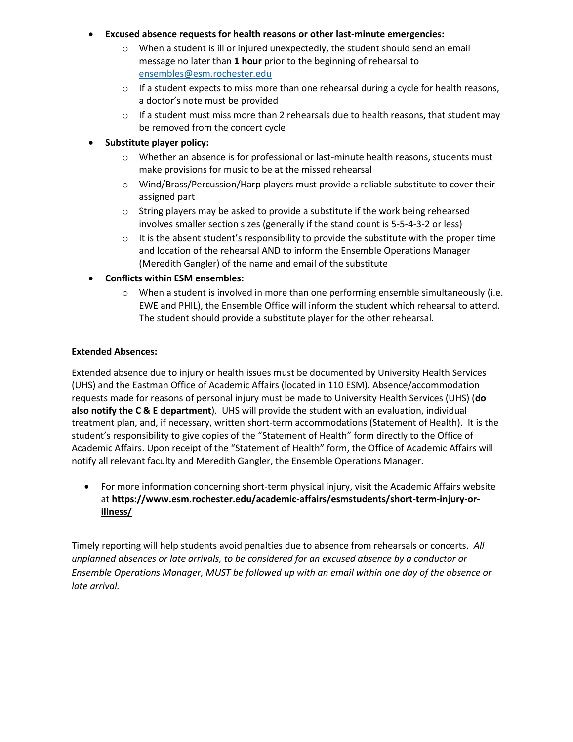#### **Excused absence requests for health reasons or other last-minute emergencies:**

- $\circ$  When a student is ill or injured unexpectedly, the student should send an email message no later than **1 hour** prior to the beginning of rehearsal to [ensembles@esm.rochester.edu](mailto:ensembles@esm.rochester.edu)
- $\circ$  If a student expects to miss more than one rehearsal during a cycle for health reasons, a doctor's note must be provided
- $\circ$  If a student must miss more than 2 rehearsals due to health reasons, that student may be removed from the concert cycle
- **Substitute player policy:**
	- o Whether an absence is for professional or last-minute health reasons, students must make provisions for music to be at the missed rehearsal
	- o Wind/Brass/Percussion/Harp players must provide a reliable substitute to cover their assigned part
	- o String players may be asked to provide a substitute if the work being rehearsed involves smaller section sizes (generally if the stand count is 5-5-4-3-2 or less)
	- $\circ$  It is the absent student's responsibility to provide the substitute with the proper time and location of the rehearsal AND to inform the Ensemble Operations Manager (Meredith Gangler) of the name and email of the substitute
- **Conflicts within ESM ensembles:**
	- $\circ$  When a student is involved in more than one performing ensemble simultaneously (i.e. EWE and PHIL), the Ensemble Office will inform the student which rehearsal to attend. The student should provide a substitute player for the other rehearsal.

#### **Extended Absences:**

Extended absence due to injury or health issues must be documented by University Health Services (UHS) and the Eastman Office of Academic Affairs (located in 110 ESM). Absence/accommodation requests made for reasons of personal injury must be made to University Health Services (UHS) (**do also notify the C & E department**). UHS will provide the student with an evaluation, individual treatment plan, and, if necessary, written short-term accommodations (Statement of Health). It is the student's responsibility to give copies of the "Statement of Health" form directly to the Office of Academic Affairs. Upon receipt of the "Statement of Health" form, the Office of Academic Affairs will notify all relevant faculty and Meredith Gangler, the Ensemble Operations Manager.

 For more information concerning short-term physical injury, visit the Academic Affairs website at **[https://www.esm.rochester.edu/academic-affairs/esmstudents/short-term-injury-or](https://www.esm.rochester.edu/academic-affairs/esmstudents/short-term-injury-or-illness/)[illness/](https://www.esm.rochester.edu/academic-affairs/esmstudents/short-term-injury-or-illness/)**

Timely reporting will help students avoid penalties due to absence from rehearsals or concerts. *All unplanned absences or late arrivals, to be considered for an excused absence by a conductor or Ensemble Operations Manager, MUST be followed up with an email within one day of the absence or late arrival.*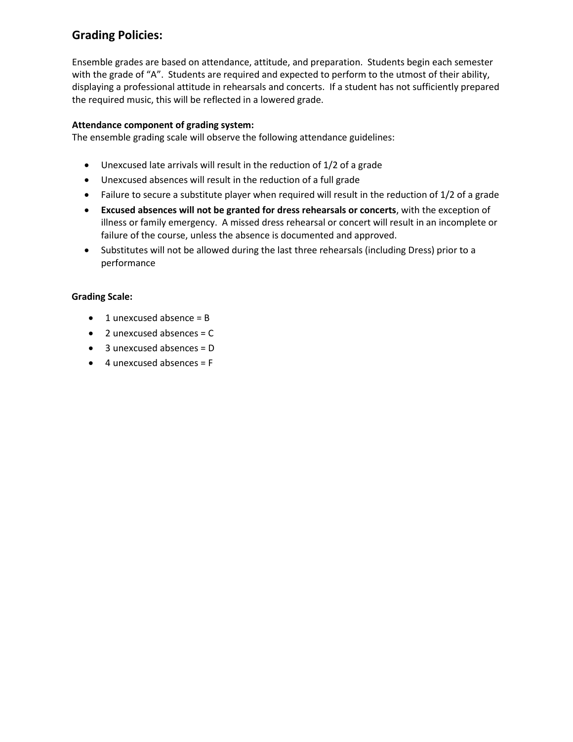## **Grading Policies:**

Ensemble grades are based on attendance, attitude, and preparation. Students begin each semester with the grade of "A". Students are required and expected to perform to the utmost of their ability, displaying a professional attitude in rehearsals and concerts. If a student has not sufficiently prepared the required music, this will be reflected in a lowered grade.

#### **Attendance component of grading system:**

The ensemble grading scale will observe the following attendance guidelines:

- Unexcused late arrivals will result in the reduction of 1/2 of a grade
- Unexcused absences will result in the reduction of a full grade
- Failure to secure a substitute player when required will result in the reduction of 1/2 of a grade
- **Excused absences will not be granted for dress rehearsals or concerts**, with the exception of illness or family emergency. A missed dress rehearsal or concert will result in an incomplete or failure of the course, unless the absence is documented and approved.
- Substitutes will not be allowed during the last three rehearsals (including Dress) prior to a performance

#### **Grading Scale:**

- $\bullet$  1 unexcused absence = B
- $\bullet$  2 unexcused absences = C
- $\bullet$  3 unexcused absences = D
- $\bullet$  4 unexcused absences = F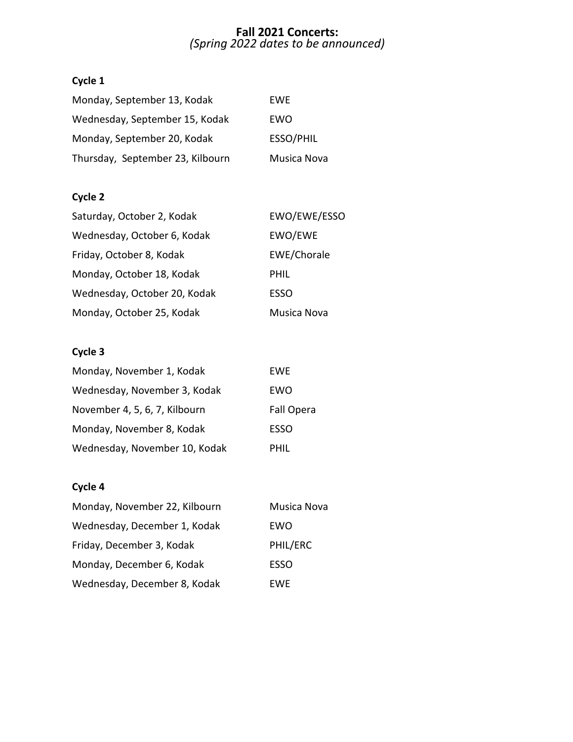#### **Fall 2021 Concerts:** *(Spring 2022 dates to be announced)*

# **Cycle 1**

| Monday, September 13, Kodak      | EWE         |
|----------------------------------|-------------|
| Wednesday, September 15, Kodak   | EWO         |
| Monday, September 20, Kodak      | ESSO/PHIL   |
| Thursday, September 23, Kilbourn | Musica Nova |

### **Cycle 2**

| Saturday, October 2, Kodak   | EWO/EWE/ESSO |
|------------------------------|--------------|
| Wednesday, October 6, Kodak  | EWO/EWE      |
| Friday, October 8, Kodak     | EWE/Chorale  |
| Monday, October 18, Kodak    | PHIL         |
| Wednesday, October 20, Kodak | <b>ESSO</b>  |
| Monday, October 25, Kodak    | Musica Nova  |

# **Cycle 3**

| Monday, November 1, Kodak     | EWE         |
|-------------------------------|-------------|
| Wednesday, November 3, Kodak  | EWO         |
| November 4, 5, 6, 7, Kilbourn | Fall Opera  |
| Monday, November 8, Kodak     | <b>ESSO</b> |
| Wednesday, November 10, Kodak | PHIL        |

# **Cycle 4**

| Monday, November 22, Kilbourn | Musica Nova |
|-------------------------------|-------------|
| Wednesday, December 1, Kodak  | EWO         |
| Friday, December 3, Kodak     | PHIL/ERC    |
| Monday, December 6, Kodak     | <b>ESSO</b> |
| Wednesday, December 8, Kodak  | EWE         |